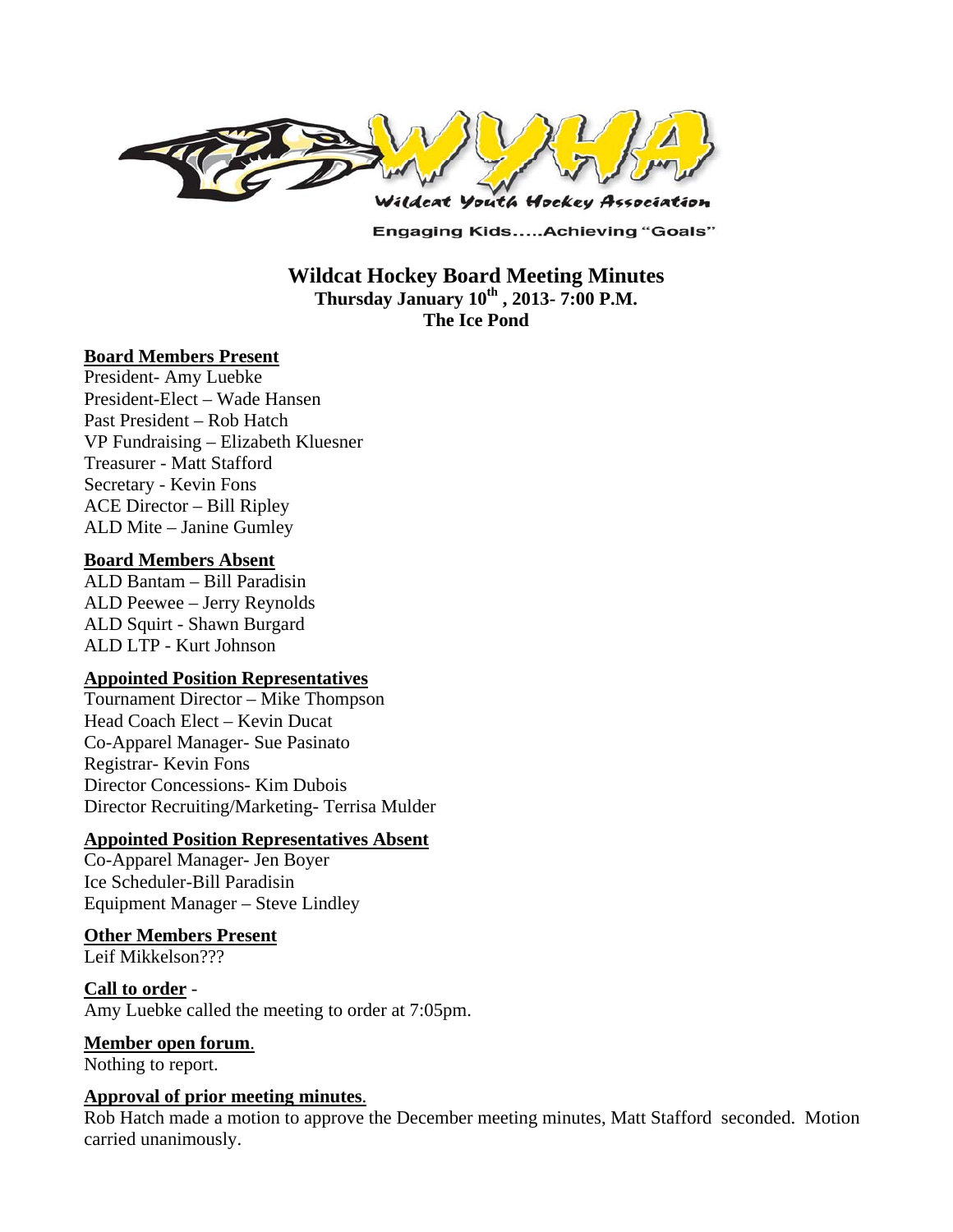

**Engaging Kids.....Achieving "Goals"** 

## **Wildcat Hockey Board Meeting Minutes Thursday January 10th , 2013- 7:00 P.M. The Ice Pond**

#### **Board Members Present**

President- Amy Luebke President-Elect – Wade Hansen Past President – Rob Hatch VP Fundraising – Elizabeth Kluesner Treasurer - Matt Stafford Secretary - Kevin Fons ACE Director – Bill Ripley ALD Mite – Janine Gumley

#### **Board Members Absent**

ALD Bantam – Bill Paradisin ALD Peewee – Jerry Reynolds ALD Squirt - Shawn Burgard ALD LTP - Kurt Johnson

#### **Appointed Position Representatives**

Tournament Director – Mike Thompson Head Coach Elect – Kevin Ducat Co-Apparel Manager- Sue Pasinato Registrar- Kevin Fons Director Concessions- Kim Dubois Director Recruiting/Marketing- Terrisa Mulder

#### **Appointed Position Representatives Absent**

Co-Apparel Manager- Jen Boyer Ice Scheduler-Bill Paradisin Equipment Manager – Steve Lindley

#### **Other Members Present**

Leif Mikkelson???

**Call to order** - Amy Luebke called the meeting to order at 7:05pm.

**Member open forum**.

Nothing to report.

#### **Approval of prior meeting minutes**.

Rob Hatch made a motion to approve the December meeting minutes, Matt Stafford seconded. Motion carried unanimously.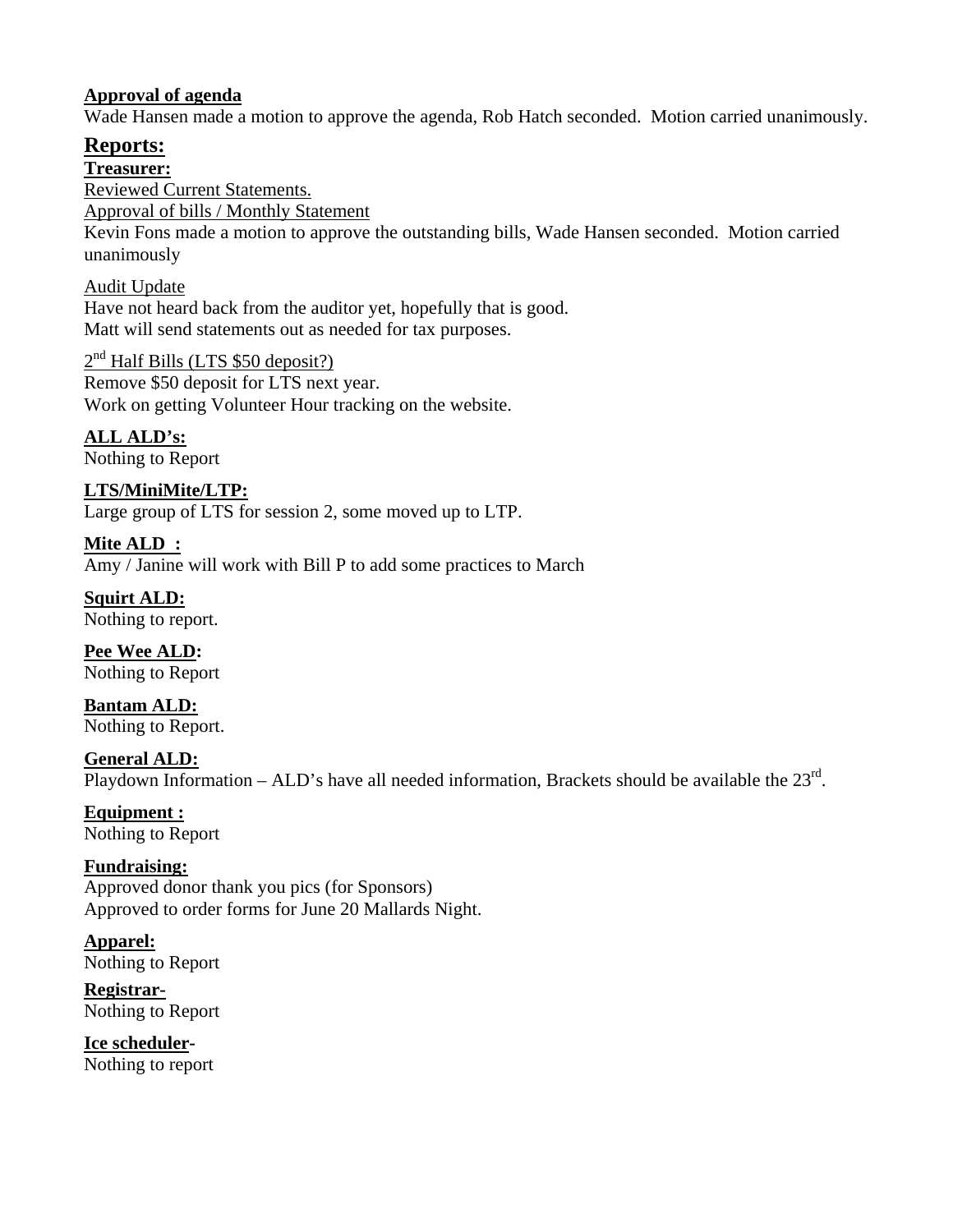### **Approval of agenda**

Wade Hansen made a motion to approve the agenda, Rob Hatch seconded. Motion carried unanimously.

# **Reports:**

### **Treasurer:**

Reviewed Current Statements. Approval of bills / Monthly Statement

Kevin Fons made a motion to approve the outstanding bills, Wade Hansen seconded. Motion carried unanimously

Audit Update Have not heard back from the auditor yet, hopefully that is good. Matt will send statements out as needed for tax purposes.

2<sup>nd</sup> Half Bills (LTS \$50 deposit?) Remove \$50 deposit for LTS next year. Work on getting Volunteer Hour tracking on the website.

**ALL ALD's:**  Nothing to Report

**LTS/MiniMite/LTP:**  Large group of LTS for session 2, some moved up to LTP.

**Mite ALD :**  Amy / Janine will work with Bill P to add some practices to March

**Squirt ALD:**  Nothing to report.

**Pee Wee ALD:**  Nothing to Report

**Bantam ALD:**  Nothing to Report.

**General ALD:**  Playdown Information – ALD's have all needed information, Brackets should be available the  $23^{\text{rd}}$ .

**Equipment :**  Nothing to Report

**Fundraising:**  Approved donor thank you pics (for Sponsors) Approved to order forms for June 20 Mallards Night.

**Apparel:**  Nothing to Report

**Registrar-**Nothing to Report

**Ice scheduler-**Nothing to report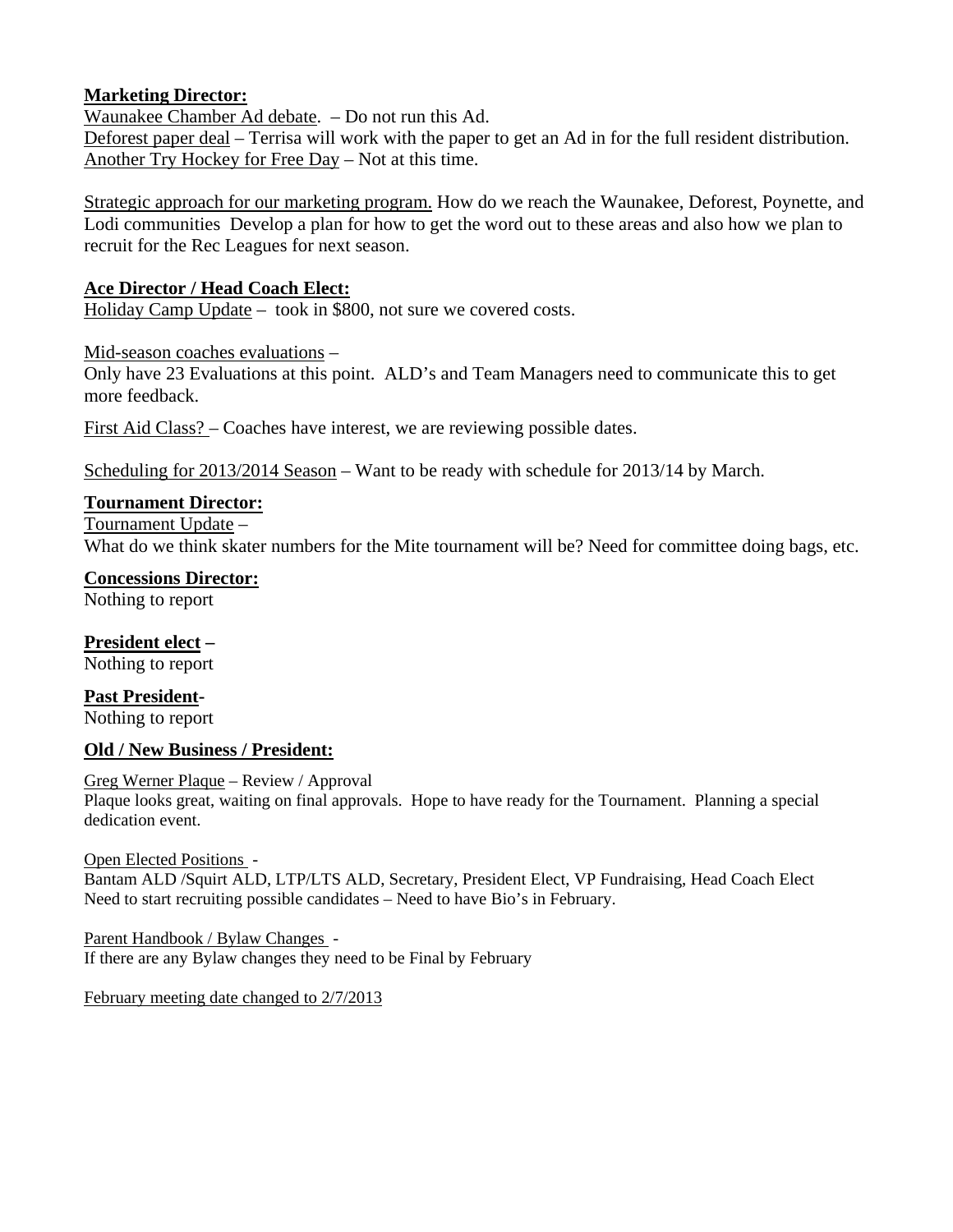### **Marketing Director:**

Waunakee Chamber Ad debate. – Do not run this Ad.

Deforest paper deal – Terrisa will work with the paper to get an Ad in for the full resident distribution. Another Try Hockey for Free Day – Not at this time.

Strategic approach for our marketing program. How do we reach the Waunakee, Deforest, Poynette, and Lodi communities Develop a plan for how to get the word out to these areas and also how we plan to recruit for the Rec Leagues for next season.

### **Ace Director / Head Coach Elect:**

Holiday Camp Update – took in \$800, not sure we covered costs.

Mid-season coaches evaluations – Only have 23 Evaluations at this point. ALD's and Team Managers need to communicate this to get more feedback.

First Aid Class? – Coaches have interest, we are reviewing possible dates.

Scheduling for 2013/2014 Season – Want to be ready with schedule for 2013/14 by March.

#### **Tournament Director:**

Tournament Update –

What do we think skater numbers for the Mite tournament will be? Need for committee doing bags, etc.

## **Concessions Director:**

Nothing to report

#### **President elect –**

Nothing to report

**Past President-**Nothing to report

### **Old / New Business / President:**

#### Greg Werner Plaque – Review / Approval

Plaque looks great, waiting on final approvals. Hope to have ready for the Tournament. Planning a special dedication event.

#### Open Elected Positions -

Bantam ALD /Squirt ALD, LTP/LTS ALD, Secretary, President Elect, VP Fundraising, Head Coach Elect Need to start recruiting possible candidates – Need to have Bio's in February.

Parent Handbook / Bylaw Changes - If there are any Bylaw changes they need to be Final by February

February meeting date changed to 2/7/2013